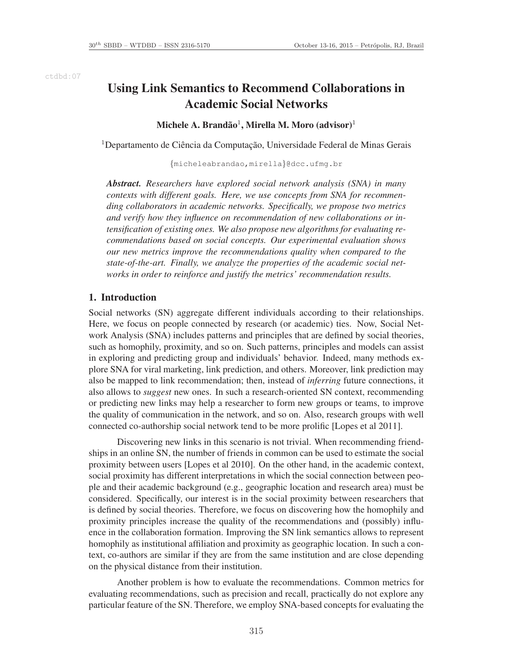ctdbd:07

# Using Link Semantics to Recommend Collaborations in Academic Social Networks

## Michele A. Brandão $^1$ , Mirella M. Moro (advisor) $^1$

<sup>1</sup>Departamento de Ciência da Computação, Universidade Federal de Minas Gerais

{micheleabrandao,mirella}@dcc.ufmg.br

*Abstract. Researchers have explored social network analysis (SNA) in many contexts with different goals. Here, we use concepts from SNA for recommending collaborators in academic networks. Specifically, we propose two metrics and verify how they influence on recommendation of new collaborations or intensification of existing ones. We also propose new algorithms for evaluating recommendations based on social concepts. Our experimental evaluation shows our new metrics improve the recommendations quality when compared to the state-of-the-art. Finally, we analyze the properties of the academic social networks in order to reinforce and justify the metrics' recommendation results.*

## 1. Introduction

Social networks (SN) aggregate different individuals according to their relationships. Here, we focus on people connected by research (or academic) ties. Now, Social Network Analysis (SNA) includes patterns and principles that are defined by social theories, such as homophily, proximity, and so on. Such patterns, principles and models can assist in exploring and predicting group and individuals' behavior. Indeed, many methods explore SNA for viral marketing, link prediction, and others. Moreover, link prediction may also be mapped to link recommendation; then, instead of *inferring* future connections, it also allows to *suggest* new ones. In such a research-oriented SN context, recommending or predicting new links may help a researcher to form new groups or teams, to improve the quality of communication in the network, and so on. Also, research groups with well connected co-authorship social network tend to be more prolific [Lopes et al 2011].

Discovering new links in this scenario is not trivial. When recommending friendships in an online SN, the number of friends in common can be used to estimate the social proximity between users [Lopes et al 2010]. On the other hand, in the academic context, social proximity has different interpretations in which the social connection between people and their academic background (e.g., geographic location and research area) must be considered. Specifically, our interest is in the social proximity between researchers that is defined by social theories. Therefore, we focus on discovering how the homophily and proximity principles increase the quality of the recommendations and (possibly) influence in the collaboration formation. Improving the SN link semantics allows to represent homophily as institutional affiliation and proximity as geographic location. In such a context, co-authors are similar if they are from the same institution and are close depending on the physical distance from their institution.

Another problem is how to evaluate the recommendations. Common metrics for evaluating recommendations, such as precision and recall, practically do not explore any particular feature of the SN. Therefore, we employ SNA-based concepts for evaluating the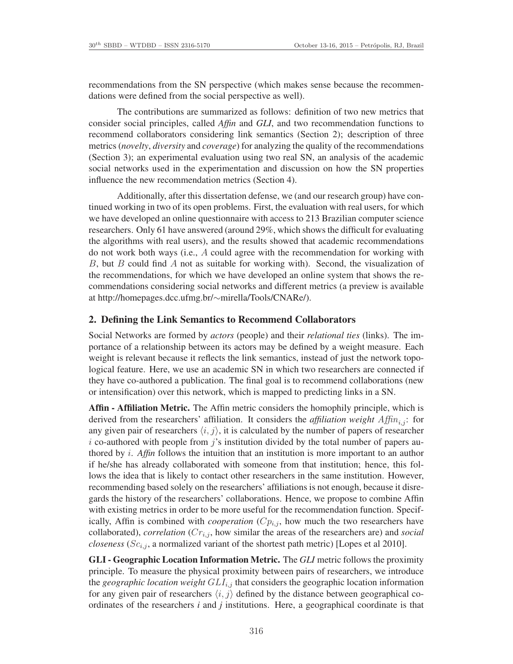recommendations from the SN perspective (which makes sense because the recommendations were defined from the social perspective as well).

The contributions are summarized as follows: definition of two new metrics that consider social principles, called *Affin* and *GLI*, and two recommendation functions to recommend collaborators considering link semantics (Section 2); description of three metrics (*novelty*, *diversity* and *coverage*) for analyzing the quality of the recommendations (Section 3); an experimental evaluation using two real SN, an analysis of the academic social networks used in the experimentation and discussion on how the SN properties influence the new recommendation metrics (Section 4).

Additionally, after this dissertation defense, we (and our research group) have continued working in two of its open problems. First, the evaluation with real users, for which we have developed an online questionnaire with access to 213 Brazilian computer science researchers. Only 61 have answered (around 29%, which shows the difficult for evaluating the algorithms with real users), and the results showed that academic recommendations do not work both ways (i.e., A could agree with the recommendation for working with B, but B could find A not as suitable for working with). Second, the visualization of the recommendations, for which we have developed an online system that shows the recommendations considering social networks and different metrics (a preview is available at http://homepages.dcc.ufmg.br/∼mirella/Tools/CNARe/).

#### 2. Defining the Link Semantics to Recommend Collaborators

Social Networks are formed by *actors* (people) and their *relational ties* (links). The importance of a relationship between its actors may be defined by a weight measure. Each weight is relevant because it reflects the link semantics, instead of just the network topological feature. Here, we use an academic SN in which two researchers are connected if they have co-authored a publication. The final goal is to recommend collaborations (new or intensification) over this network, which is mapped to predicting links in a SN.

Affin - Affiliation Metric. The Affin metric considers the homophily principle, which is derived from the researchers' affiliation. It considers the *affiliation weight*  $Affin_{i,i}$ : for any given pair of researchers  $\langle i, j \rangle$ , it is calculated by the number of papers of researcher i co-authored with people from  $j$ 's institution divided by the total number of papers authored by i. *Affin* follows the intuition that an institution is more important to an author if he/she has already collaborated with someone from that institution; hence, this follows the idea that is likely to contact other researchers in the same institution. However, recommending based solely on the researchers' affiliations is not enough, because it disregards the history of the researchers' collaborations. Hence, we propose to combine Affin with existing metrics in order to be more useful for the recommendation function. Specifically, Affin is combined with *cooperation*  $(Cp_{i,j}$ , how much the two researchers have collaborated), *correlation*  $(Cr_{i,j}$ , how similar the areas of the researchers are) and *social closeness* ( $Sc_{i,j}$ , a normalized variant of the shortest path metric) [Lopes et al 2010].

GLI - Geographic Location Information Metric. The *GLI* metric follows the proximity principle. To measure the physical proximity between pairs of researchers, we introduce the *geographic location weight*  $GLI_{i,j}$  that considers the geographic location information for any given pair of researchers  $\langle i, j \rangle$  defined by the distance between geographical coordinates of the researchers *i* and *j* institutions. Here, a geographical coordinate is that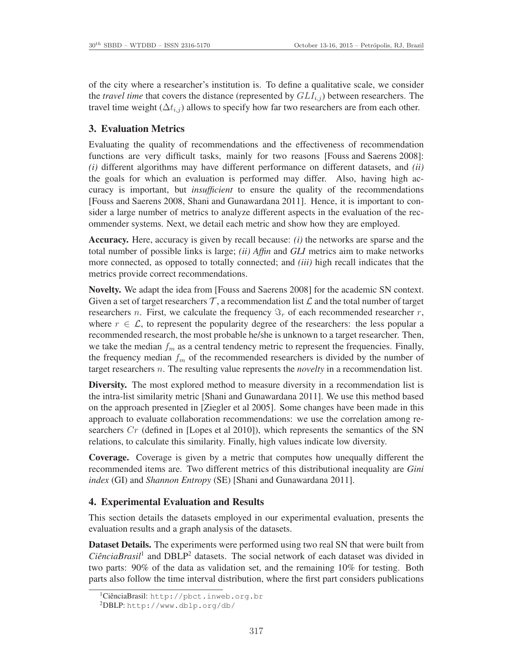of the city where a researcher's institution is. To define a qualitative scale, we consider the *travel time* that covers the distance (represented by  $GLI_{i,j}$ ) between researchers. The travel time weight  $(\Delta t_{i,j})$  allows to specify how far two researchers are from each other.

## 3. Evaluation Metrics

Evaluating the quality of recommendations and the effectiveness of recommendation functions are very difficult tasks, mainly for two reasons [Fouss and Saerens 2008]: *(i)* different algorithms may have different performance on different datasets, and *(ii)* the goals for which an evaluation is performed may differ. Also, having high accuracy is important, but *insufficient* to ensure the quality of the recommendations [Fouss and Saerens 2008, Shani and Gunawardana 2011]. Hence, it is important to consider a large number of metrics to analyze different aspects in the evaluation of the recommender systems. Next, we detail each metric and show how they are employed.

Accuracy. Here, accuracy is given by recall because: *(i)* the networks are sparse and the total number of possible links is large; *(ii) Affin* and *GLI* metrics aim to make networks more connected, as opposed to totally connected; and *(iii)* high recall indicates that the metrics provide correct recommendations.

Novelty. We adapt the idea from [Fouss and Saerens 2008] for the academic SN context. Given a set of target researchers  $\mathcal T$ , a recommendation list  $\mathcal L$  and the total number of target researchers n. First, we calculate the frequency  $\Im_r$  of each recommended researcher r, where  $r \in \mathcal{L}$ , to represent the popularity degree of the researchers: the less popular a recommended research, the most probable he/she is unknown to a target researcher. Then, we take the median  $f_m$  as a central tendency metric to represent the frequencies. Finally, the frequency median  $f_m$  of the recommended researchers is divided by the number of target researchers n. The resulting value represents the *novelty* in a recommendation list.

Diversity. The most explored method to measure diversity in a recommendation list is the intra-list similarity metric [Shani and Gunawardana 2011]. We use this method based on the approach presented in [Ziegler et al 2005]. Some changes have been made in this approach to evaluate collaboration recommendations: we use the correlation among researchers  $Cr$  (defined in [Lopes et al 2010]), which represents the semantics of the SN relations, to calculate this similarity. Finally, high values indicate low diversity.

Coverage. Coverage is given by a metric that computes how unequally different the recommended items are. Two different metrics of this distributional inequality are *Gini index* (GI) and *Shannon Entropy* (SE) [Shani and Gunawardana 2011].

## 4. Experimental Evaluation and Results

This section details the datasets employed in our experimental evaluation, presents the evaluation results and a graph analysis of the datasets.

Dataset Details. The experiments were performed using two real SN that were built from CiênciaBrasil<sup>1</sup> and DBLP<sup>2</sup> datasets. The social network of each dataset was divided in two parts: 90% of the data as validation set, and the remaining 10% for testing. Both parts also follow the time interval distribution, where the first part considers publications

<sup>&</sup>lt;sup>1</sup>CiênciaBrasil: http://pbct.inweb.org.br

<sup>2</sup>DBLP: http://www.dblp.org/db/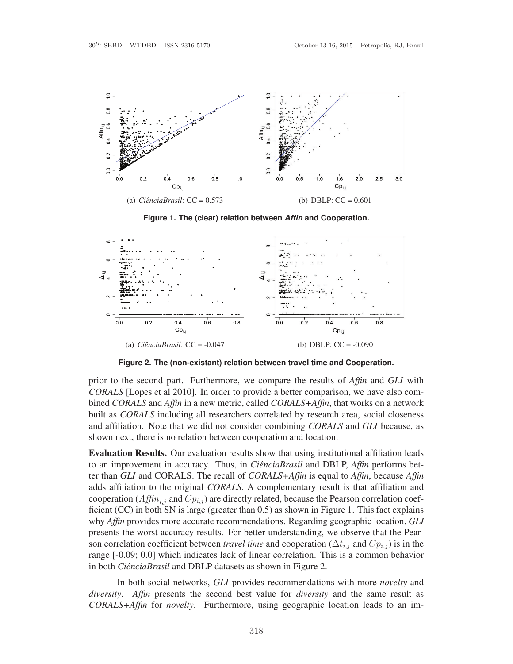

**Figure 1. The (clear) relation between** *Affin* **and Cooperation.**



**Figure 2. The (non-existant) relation between travel time and Cooperation.**

prior to the second part. Furthermore, we compare the results of *Affin* and *GLI* with *CORALS* [Lopes et al 2010]. In order to provide a better comparison, we have also combined *CORALS* and *Affin* in a new metric, called *CORALS+Affin*, that works on a network built as *CORALS* including all researchers correlated by research area, social closeness and affiliation. Note that we did not consider combining *CORALS* and *GLI* because, as shown next, there is no relation between cooperation and location.

Evaluation Results. Our evaluation results show that using institutional affiliation leads to an improvement in accuracy. Thus, in *CiênciaBrasil* and DBLP, *Affin* performs better than *GLI* and CORALS. The recall of *CORALS+Affin* is equal to *Affin*, because *Affin* adds affiliation to the original *CORALS*. A complementary result is that affiliation and cooperation ( $Affn_{i,j}$  and  $Cp_{i,j}$ ) are directly related, because the Pearson correlation coefficient (CC) in both SN is large (greater than 0.5) as shown in Figure 1. This fact explains why *Affin* provides more accurate recommendations. Regarding geographic location, *GLI* presents the worst accuracy results. For better understanding, we observe that the Pearson correlation coefficient between *travel time* and cooperation ( $\Delta t_{i,j}$  and  $Cp_{i,j}$ ) is in the range [-0.09; 0.0] which indicates lack of linear correlation. This is a common behavior in both *CiênciaBrasil* and DBLP datasets as shown in Figure 2.

In both social networks, *GLI* provides recommendations with more *novelty* and *diversity*. *Affin* presents the second best value for *diversity* and the same result as *CORALS+Affin* for *novelty*. Furthermore, using geographic location leads to an im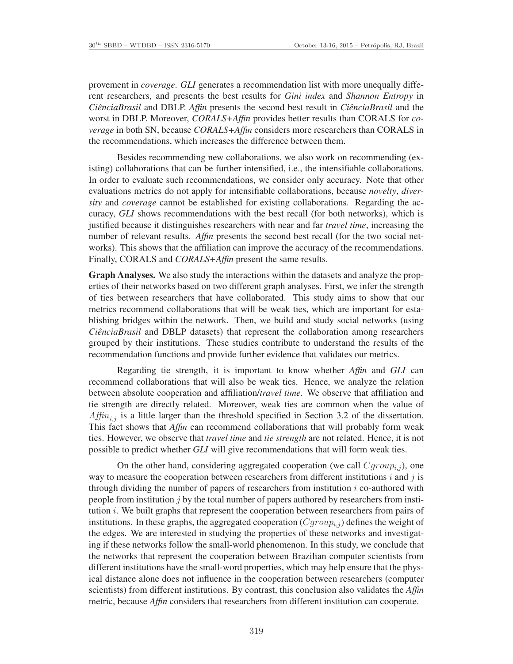provement in *coverage*. *GLI* generates a recommendation list with more unequally different researchers, and presents the best results for *Gini index* and *Shannon Entropy* in *CiênciaBrasil* and DBLP. *Affin* presents the second best result in *CiênciaBrasil* and the worst in DBLP. Moreover, *CORALS+Affin* provides better results than CORALS for *coverage* in both SN, because *CORALS+Affin* considers more researchers than CORALS in the recommendations, which increases the difference between them.

Besides recommending new collaborations, we also work on recommending (existing) collaborations that can be further intensified, i.e., the intensifiable collaborations. In order to evaluate such recommendations, we consider only accuracy. Note that other evaluations metrics do not apply for intensifiable collaborations, because *novelty*, *diversity* and *coverage* cannot be established for existing collaborations. Regarding the accuracy, *GLI* shows recommendations with the best recall (for both networks), which is justified because it distinguishes researchers with near and far *travel time*, increasing the number of relevant results. *Affin* presents the second best recall (for the two social networks). This shows that the affiliation can improve the accuracy of the recommendations. Finally, CORALS and *CORALS+Affin* present the same results.

Graph Analyses. We also study the interactions within the datasets and analyze the properties of their networks based on two different graph analyses. First, we infer the strength of ties between researchers that have collaborated. This study aims to show that our metrics recommend collaborations that will be weak ties, which are important for establishing bridges within the network. Then, we build and study social networks (using *CiênciaBrasil* and DBLP datasets) that represent the collaboration among researchers grouped by their institutions. These studies contribute to understand the results of the recommendation functions and provide further evidence that validates our metrics.

Regarding tie strength, it is important to know whether *Affin* and *GLI* can recommend collaborations that will also be weak ties. Hence, we analyze the relation between absolute cooperation and affiliation/*travel time*. We observe that affiliation and tie strength are directly related. Moreover, weak ties are common when the value of  $Affn_{i,j}$  is a little larger than the threshold specified in Section 3.2 of the dissertation. This fact shows that *Affin* can recommend collaborations that will probably form weak ties. However, we observe that *travel time* and *tie strength* are not related. Hence, it is not possible to predict whether *GLI* will give recommendations that will form weak ties.

On the other hand, considering aggregated cooperation (we call  $Cgroup_{i,j}$ ), one way to measure the cooperation between researchers from different institutions i and j is through dividing the number of papers of researchers from institution  $i$  co-authored with people from institution  $\dot{\gamma}$  by the total number of papers authored by researchers from institution  $i$ . We built graphs that represent the cooperation between researchers from pairs of institutions. In these graphs, the aggregated cooperation  $(Cqrow<sub>i</sub>)$  defines the weight of the edges. We are interested in studying the properties of these networks and investigating if these networks follow the small-world phenomenon. In this study, we conclude that the networks that represent the cooperation between Brazilian computer scientists from different institutions have the small-word properties, which may help ensure that the physical distance alone does not influence in the cooperation between researchers (computer scientists) from different institutions. By contrast, this conclusion also validates the *Affin* metric, because *Affin* considers that researchers from different institution can cooperate.